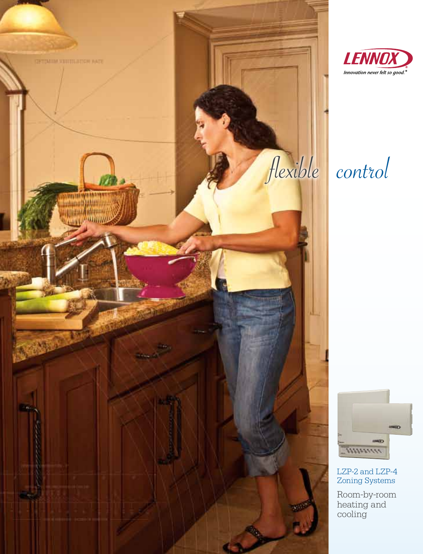





LZP-2 and LZP-4 Zoning Systems

Room-by-room heating and cooling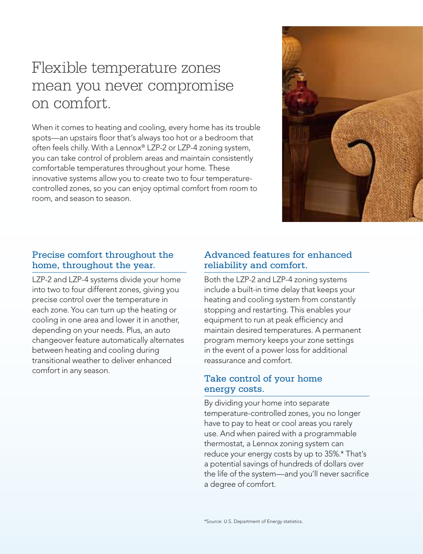# Flexible temperature zones mean you never compromise on comfort.

When it comes to heating and cooling, every home has its trouble spots—an upstairs floor that's always too hot or a bedroom that often feels chilly. With a Lennox® LZP-2 or LZP-4 zoning system, you can take control of problem areas and maintain consistently comfortable temperatures throughout your home. These innovative systems allow you to create two to four temperaturecontrolled zones, so you can enjoy optimal comfort from room to room, and season to season.



## Precise comfort throughout the home, throughout the year.

LZP-2 and LZP-4 systems divide your home into two to four different zones, giving you precise control over the temperature in each zone. You can turn up the heating or cooling in one area and lower it in another, depending on your needs. Plus, an auto changeover feature automatically alternates between heating and cooling during transitional weather to deliver enhanced comfort in any season.

## Advanced features for enhanced reliability and comfort.

Both the LZP-2 and LZP-4 zoning systems include a built-in time delay that keeps your heating and cooling system from constantly stopping and restarting. This enables your equipment to run at peak efficiency and maintain desired temperatures. A permanent program memory keeps your zone settings in the event of a power loss for additional reassurance and comfort.

## Take control of your home energy costs.

By dividing your home into separate temperature-controlled zones, you no longer have to pay to heat or cool areas you rarely use. And when paired with a programmable thermostat, a Lennox zoning system can reduce your energy costs by up to 35%.\* That's a potential savings of hundreds of dollars over the life of the system—and you'll never sacrifice a degree of comfort.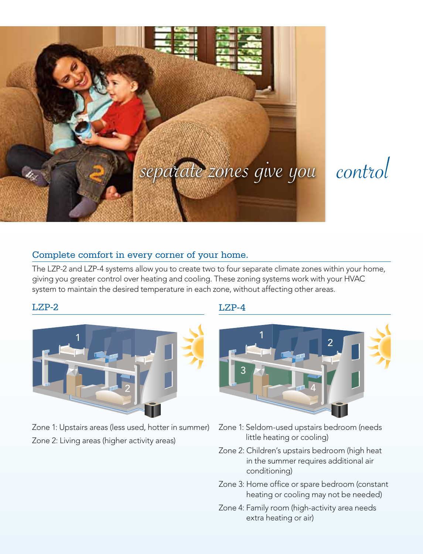



# Complete comfort in every corner of your home.

The LZP-2 and LZP-4 systems allow you to create two to four separate climate zones within your home, giving you greater control over heating and cooling. These zoning systems work with your HVAC system to maintain the desired temperature in each zone, without affecting other areas.

#### $I.Z.P-2$



Zone 1: Upstairs areas (less used, hotter in summer) Zone 2: Living areas (higher activity areas)

## LZP-4



- Zone 1: Seldom-used upstairs bedroom (needs little heating or cooling)
- Zone 2: Children's upstairs bedroom (high heat in the summer requires additional air conditioning)
- Zone 3: Home office or spare bedroom (constant heating or cooling may not be needed)
- Zone 4: Family room (high-activity area needs extra heating or air)